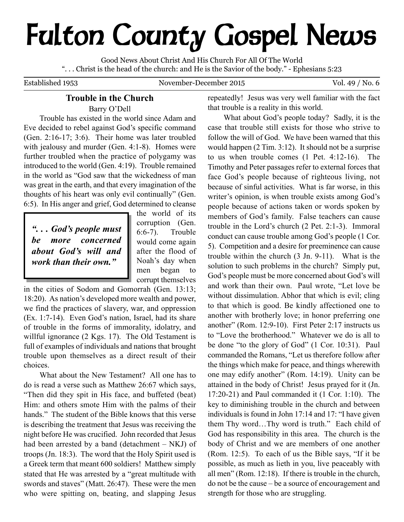# **Fulton County Gospel News**

Good News About Christ And His Church For All Of The World ". . . Christ is the head of the church: and He is the Savior of the body." - Ephesians 5:23

Established 1953 November-December 2015 Vol. 49 / No. 6

# **Trouble in the Church**

Barry O'Dell

Trouble has existed in the world since Adam and Eve decided to rebel against God's specific command (Gen. 2:16-17; 3:6). Their home was later troubled with jealousy and murder (Gen. 4:1-8). Homes were further troubled when the practice of polygamy was introduced to the world (Gen. 4:19). Trouble remained in the world as "God saw that the wickedness of man was great in the earth, and that every imagination of the thoughts of his heart was only evil continually" (Gen. 6:5). In His anger and grief, God determined to cleanse

*". . . God's people must be more concerned about God's will and work than their own."*

the world of its corruption (Gen. 6:6-7). Trouble would come again after the flood of Noah's day when men began to corrupt themselves

in the cities of Sodom and Gomorrah (Gen. 13:13; 18:20). As nation's developed more wealth and power, we find the practices of slavery, war, and oppression (Ex. 1:7-14). Even God's nation, Israel, had its share of trouble in the forms of immorality, idolatry, and willful ignorance (2 Kgs. 17). The Old Testament is full of examples of individuals and nations that brought trouble upon themselves as a direct result of their choices.

What about the New Testament? All one has to do is read a verse such as Matthew 26:67 which says, "Then did they spit in His face, and buffeted (beat) Him: and others smote Him with the palms of their hands." The student of the Bible knows that this verse is describing the treatment that Jesus was receiving the night before He was crucified. John recorded that Jesus had been arrested by a band (detachment – NKJ) of troops (Jn. 18:3). The word that the Holy Spirit used is a Greek term that meant 600 soldiers! Matthew simply stated that He was arrested by a "great multitude with swords and staves" (Matt. 26:47). These were the men who were spitting on, beating, and slapping Jesus

repeatedly! Jesus was very well familiar with the fact that trouble is a reality in this world.

What about God's people today? Sadly, it is the case that trouble still exists for those who strive to follow the will of God. We have been warned that this would happen (2 Tim. 3:12). It should not be a surprise to us when trouble comes (1 Pet. 4:12-16). The Timothy and Peter passages refer to external forces that face God's people because of righteous living, not because of sinful activities. What is far worse, in this writer's opinion, is when trouble exists among God's people because of actions taken or words spoken by members of God's family. False teachers can cause trouble in the Lord's church (2 Pet. 2:1-3). Immoral conduct can cause trouble among God's people (1 Cor. 5). Competition and a desire for preeminence can cause trouble within the church (3 Jn. 9-11). What is the solution to such problems in the church? Simply put, God's people must be more concerned about God's will and work than their own. Paul wrote, "Let love be without dissimulation. Abhor that which is evil; cling to that which is good. Be kindly affectioned one to another with brotherly love; in honor preferring one another" (Rom. 12:9-10). First Peter 2:17 instructs us to "Love the brotherhood." Whatever we do is all to be done "to the glory of God" (1 Cor. 10:31). Paul commanded the Romans, "Let us therefore follow after the things which make for peace, and things wherewith one may edify another" (Rom. 14:19). Unity can be attained in the body of Christ! Jesus prayed for it (Jn. 17:20-21) and Paul commanded it (1 Cor. 1:10). The key to diminishing trouble in the church and between individuals is found in John 17:14 and 17: "I have given them Thy word…Thy word is truth." Each child of God has responsibility in this area. The church is the body of Christ and we are members of one another (Rom. 12:5). To each of us the Bible says, "If it be possible, as much as lieth in you, live peaceably with all men" (Rom. 12:18). If there is trouble in the church, do not be the cause – be a source of encouragement and strength for those who are struggling.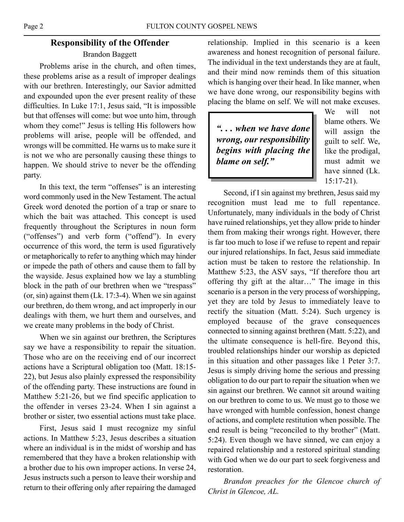# **Responsibility of the Offender**

## Brandon Baggett

Problems arise in the church, and often times, these problems arise as a result of improper dealings with our brethren. Interestingly, our Savior admitted and expounded upon the ever present reality of these difficulties. In Luke 17:1, Jesus said, "It is impossible but that offenses will come: but woe unto him, through whom they come!" Jesus is telling His followers how problems will arise, people will be offended, and wrongs will be committed. He warns us to make sure it is not we who are personally causing these things to happen. We should strive to never be the offending party.

In this text, the term "offenses" is an interesting word commonly used in the New Testament. The actual Greek word denoted the portion of a trap or snare to which the bait was attached. This concept is used frequently throughout the Scriptures in noun form ("offenses") and verb form ("offend"). In every occurrence of this word, the term is used figuratively or metaphorically to refer to anything which may hinder or impede the path of others and cause them to fall by the wayside. Jesus explained how we lay a stumbling block in the path of our brethren when we "trespass" (or, sin) against them (Lk. 17:3-4). When we sin against our brethren, do them wrong, and act improperly in our dealings with them, we hurt them and ourselves, and we create many problems in the body of Christ.

When we sin against our brethren, the Scriptures say we have a responsibility to repair the situation. Those who are on the receiving end of our incorrect actions have a Scriptural obligation too (Matt. 18:15- 22), but Jesus also plainly expressed the responsibility of the offending party. These instructions are found in Matthew 5:21-26, but we find specific application to the offender in verses 23-24. When I sin against a brother or sister, two essential actions must take place.

First, Jesus said I must recognize my sinful actions. In Matthew 5:23, Jesus describes a situation where an individual is in the midst of worship and has remembered that they have a broken relationship with a brother due to his own improper actions. In verse 24, Jesus instructs such a person to leave their worship and return to their offering only after repairing the damaged

relationship. Implied in this scenario is a keen awareness and honest recognition of personal failure. The individual in the text understands they are at fault, and their mind now reminds them of this situation which is hanging over their head. In like manner, when we have done wrong, our responsibility begins with placing the blame on self. We will not make excuses.

*". . . when we have done wrong, our responsibility begins with placing the blame on self."*

We will not blame others. We will assign the guilt to self. We, like the prodigal, must admit we have sinned (Lk. 15:17-21).

Second, if I sin against my brethren, Jesus said my recognition must lead me to full repentance. Unfortunately, many individuals in the body of Christ have ruined relationships, yet they allow pride to hinder them from making their wrongs right. However, there is far too much to lose if we refuse to repent and repair our injured relationships. In fact, Jesus said immediate action must be taken to restore the relationship. In Matthew 5:23, the ASV says, "If therefore thou art offering thy gift at the altar…" The image in this scenario is a person in the very process of worshipping, yet they are told by Jesus to immediately leave to rectify the situation (Matt. 5:24). Such urgency is employed because of the grave consequences connected to sinning against brethren (Matt. 5:22), and the ultimate consequence is hell-fire. Beyond this, troubled relationships hinder our worship as depicted in this situation and other passages like 1 Peter 3:7. Jesus is simply driving home the serious and pressing obligation to do our part to repair the situation when we sin against our brethren. We cannot sit around waiting on our brethren to come to us. We must go to those we have wronged with humble confession, honest change of actions, and complete restitution when possible. The end result is being "reconciled to thy brother" (Matt. 5:24). Even though we have sinned, we can enjoy a repaired relationship and a restored spiritual standing with God when we do our part to seek forgiveness and restoration.

*Brandon preaches for the Glencoe church of Christ in Glencoe, AL.*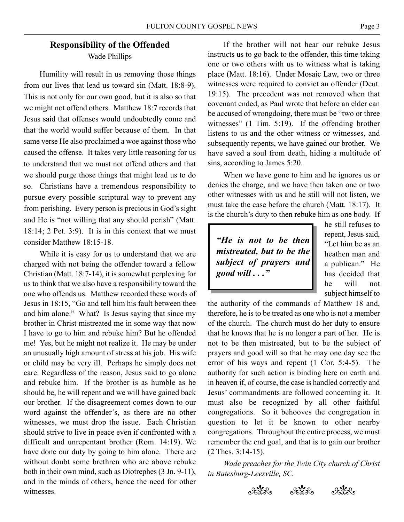# **Responsibility of the Offended** Wade Phillips

Humility will result in us removing those things from our lives that lead us toward sin (Matt. 18:8-9). This is not only for our own good, but it is also so that we might not offend others. Matthew 18:7 records that Jesus said that offenses would undoubtedly come and that the world would suffer because of them. In that same verse He also proclaimed a woe against those who caused the offense. It takes very little reasoning for us to understand that we must not offend others and that we should purge those things that might lead us to do so. Christians have a tremendous responsibility to pursue every possible scriptural way to prevent any from perishing. Every person is precious in God's sight and He is "not willing that any should perish" (Matt. 18:14; 2 Pet. 3:9). It is in this context that we must consider Matthew 18:15-18.

While it is easy for us to understand that we are charged with not being the offender toward a fellow Christian (Matt. 18:7-14), it is somewhat perplexing for us to think that we also have a responsibility toward the one who offends us. Matthew recorded these words of Jesus in 18:15, "Go and tell him his fault between thee and him alone." What? Is Jesus saying that since my brother in Christ mistreated me in some way that now I have to go to him and rebuke him? But he offended me! Yes, but he might not realize it. He may be under an unusually high amount of stress at his job. His wife or child may be very ill. Perhaps he simply does not care. Regardless of the reason, Jesus said to go alone and rebuke him. If the brother is as humble as he should be, he will repent and we will have gained back our brother. If the disagreement comes down to our word against the offender's, as there are no other witnesses, we must drop the issue. Each Christian should strive to live in peace even if confronted with a difficult and unrepentant brother (Rom. 14:19). We have done our duty by going to him alone. There are without doubt some brethren who are above rebuke both in their own mind, such as Diotrephes (3 Jn. 9-11), and in the minds of others, hence the need for other witnesses.

If the brother will not hear our rebuke Jesus instructs us to go back to the offender, this time taking one or two others with us to witness what is taking place (Matt. 18:16). Under Mosaic Law, two or three witnesses were required to convict an offender (Deut. 19:15). The precedent was not removed when that covenant ended, as Paul wrote that before an elder can be accused of wrongdoing, there must be "two or three witnesses" (1 Tim. 5:19). If the offending brother listens to us and the other witness or witnesses, and subsequently repents, we have gained our brother. We have saved a soul from death, hiding a multitude of sins, according to James 5:20.

When we have gone to him and he ignores us or denies the charge, and we have then taken one or two other witnesses with us and he still will not listen, we must take the case before the church (Matt. 18:17). It is the church's duty to then rebuke him as one body. If

*"He is not to be then mistreated, but to be the subject of prayers and good will . . ."*

he still refuses to repent, Jesus said, "Let him be as an heathen man and a publican." He has decided that he will not subject himself to

the authority of the commands of Matthew 18 and, therefore, he is to be treated as one who is not a member of the church. The church must do her duty to ensure that he knows that he is no longer a part of her. He is not to be then mistreated, but to be the subject of prayers and good will so that he may one day see the error of his ways and repent (1 Cor. 5:4-5). The authority for such action is binding here on earth and in heaven if, of course, the case is handled correctly and Jesus' commandments are followed concerning it. It must also be recognized by all other faithful congregations. So it behooves the congregation in question to let it be known to other nearby congregations. Throughout the entire process, we must remember the end goal, and that is to gain our brother (2 Thes. 3:14-15).

*Wade preaches for the Twin City church of Christ in Batesburg-Leesville, SC.*